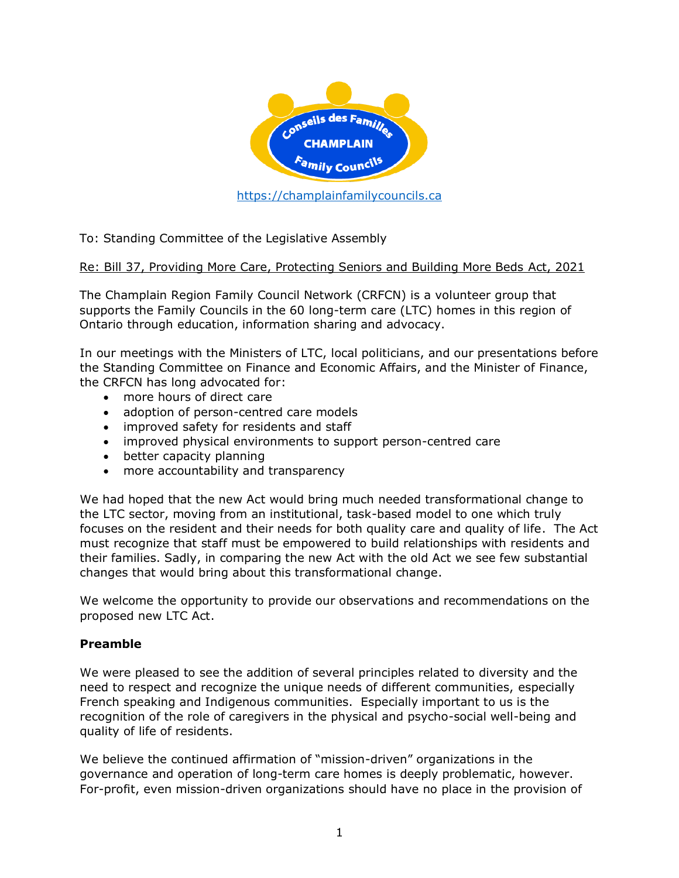

[https://champlainfamilycouncils.ca](https://champlainfamilycouncils.ca/)

To: Standing Committee of the Legislative Assembly

Re: Bill 37, Providing More Care, Protecting Seniors and Building More Beds Act, 2021

The Champlain Region Family Council Network (CRFCN) is a volunteer group that supports the Family Councils in the 60 long-term care (LTC) homes in this region of Ontario through education, information sharing and advocacy.

In our meetings with the Ministers of LTC, local politicians, and our presentations before the Standing Committee on Finance and Economic Affairs, and the Minister of Finance, the CRFCN has long advocated for:

- more hours of direct care
- adoption of person-centred care models
- improved safety for residents and staff
- improved physical environments to support person-centred care
- better capacity planning
- more accountability and transparency

We had hoped that the new Act would bring much needed transformational change to the LTC sector, moving from an institutional, task-based model to one which truly focuses on the resident and their needs for both quality care and quality of life. The Act must recognize that staff must be empowered to build relationships with residents and their families. Sadly, in comparing the new Act with the old Act we see few substantial changes that would bring about this transformational change.

We welcome the opportunity to provide our observations and recommendations on the proposed new LTC Act.

### **Preamble**

We were pleased to see the addition of several principles related to diversity and the need to respect and recognize the unique needs of different communities, especially French speaking and Indigenous communities. Especially important to us is the recognition of the role of caregivers in the physical and psycho-social well-being and quality of life of residents.

We believe the continued affirmation of "mission-driven" organizations in the governance and operation of long-term care homes is deeply problematic, however. For-profit, even mission-driven organizations should have no place in the provision of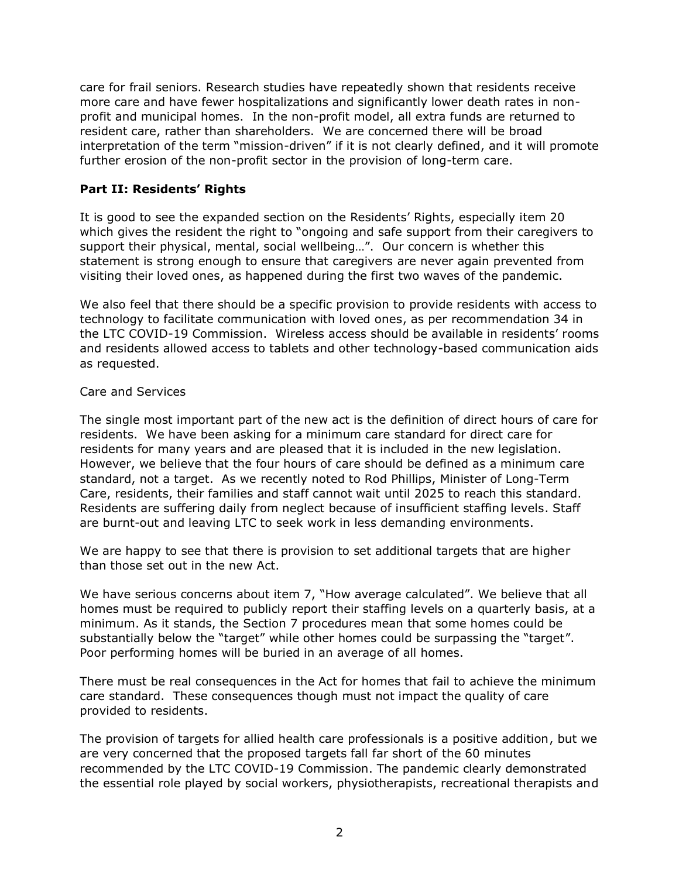care for frail seniors. Research studies have repeatedly shown that residents receive more care and have fewer hospitalizations and significantly lower death rates in nonprofit and municipal homes. In the non-profit model, all extra funds are returned to resident care, rather than shareholders. We are concerned there will be broad interpretation of the term "mission-driven" if it is not clearly defined, and it will promote further erosion of the non-profit sector in the provision of long-term care.

### **Part II: Residents' Rights**

It is good to see the expanded section on the Residents' Rights, especially item 20 which gives the resident the right to "ongoing and safe support from their caregivers to support their physical, mental, social wellbeing…". Our concern is whether this statement is strong enough to ensure that caregivers are never again prevented from visiting their loved ones, as happened during the first two waves of the pandemic.

We also feel that there should be a specific provision to provide residents with access to technology to facilitate communication with loved ones, as per recommendation 34 in the LTC COVID-19 Commission. Wireless access should be available in residents' rooms and residents allowed access to tablets and other technology-based communication aids as requested.

### Care and Services

The single most important part of the new act is the definition of direct hours of care for residents. We have been asking for a minimum care standard for direct care for residents for many years and are pleased that it is included in the new legislation. However, we believe that the four hours of care should be defined as a minimum care standard, not a target. As we recently noted to Rod Phillips, Minister of Long-Term Care, residents, their families and staff cannot wait until 2025 to reach this standard. Residents are suffering daily from neglect because of insufficient staffing levels. Staff are burnt-out and leaving LTC to seek work in less demanding environments.

We are happy to see that there is provision to set additional targets that are higher than those set out in the new Act.

We have serious concerns about item 7, "How average calculated". We believe that all homes must be required to publicly report their staffing levels on a quarterly basis, at a minimum. As it stands, the Section 7 procedures mean that some homes could be substantially below the "target" while other homes could be surpassing the "target". Poor performing homes will be buried in an average of all homes.

There must be real consequences in the Act for homes that fail to achieve the minimum care standard. These consequences though must not impact the quality of care provided to residents.

The provision of targets for allied health care professionals is a positive addition, but we are very concerned that the proposed targets fall far short of the 60 minutes recommended by the LTC COVID-19 Commission. The pandemic clearly demonstrated the essential role played by social workers, physiotherapists, recreational therapists and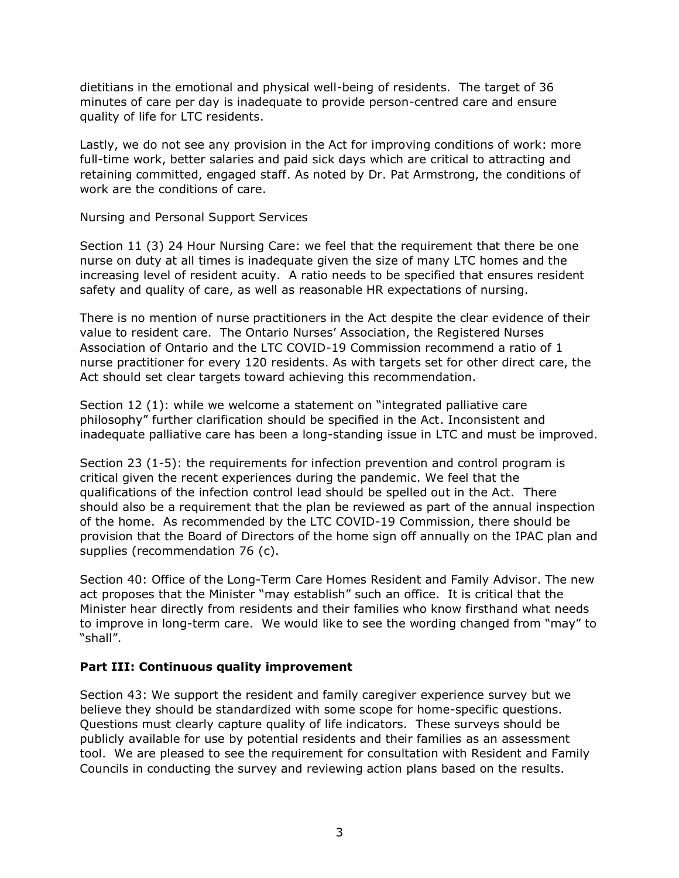dietitians in the emotional and physical well-being of residents. The target of 36 minutes of care per day is inadequate to provide person-centred care and ensure quality of life for LTC residents.

Lastly, we do not see any provision in the Act for improving conditions of work: more full-time work, better salaries and paid sick days which are critical to attracting and retaining committed, engaged staff. As noted by Dr. Pat Armstrong, the conditions of work are the conditions of care.

Nursing and Personal Support Services

Section 11 (3) 24 Hour Nursing Care: we feel that the requirement that there be one nurse on duty at all times is inadequate given the size of many LTC homes and the increasing level of resident acuity. A ratio needs to be specified that ensures resident safety and quality of care, as well as reasonable HR expectations of nursing.

There is no mention of nurse practitioners in the Act despite the clear evidence of their value to resident care. The Ontario Nurses' Association, the Registered Nurses Association of Ontario and the LTC COVID-19 Commission recommend a ratio of 1 nurse practitioner for every 120 residents. As with targets set for other direct care, the Act should set clear targets toward achieving this recommendation.

Section 12 (1): while we welcome a statement on "integrated palliative care philosophy" further clarification should be specified in the Act. Inconsistent and inadequate palliative care has been a long-standing issue in LTC and must be improved.

Section 23 (1-5): the requirements for infection prevention and control program is critical given the recent experiences during the pandemic. We feel that the qualifications of the infection control lead should be spelled out in the Act. There should also be a requirement that the plan be reviewed as part of the annual inspection of the home. As recommended by the LTC COVID-19 Commission, there should be provision that the Board of Directors of the home sign off annually on the IPAC plan and supplies (recommendation 76 (c).

Section 40: Office of the Long-Term Care Homes Resident and Family Advisor. The new act proposes that the Minister "may establish" such an office. It is critical that the Minister hear directly from residents and their families who know firsthand what needs to improve in long-term care. We would like to see the wording changed from "may" to "shall".

### **Part III: Continuous quality improvement**

Section 43: We support the resident and family caregiver experience survey but we believe they should be standardized with some scope for home-specific questions. Questions must clearly capture quality of life indicators. These surveys should be publicly available for use by potential residents and their families as an assessment tool. We are pleased to see the requirement for consultation with Resident and Family Councils in conducting the survey and reviewing action plans based on the results.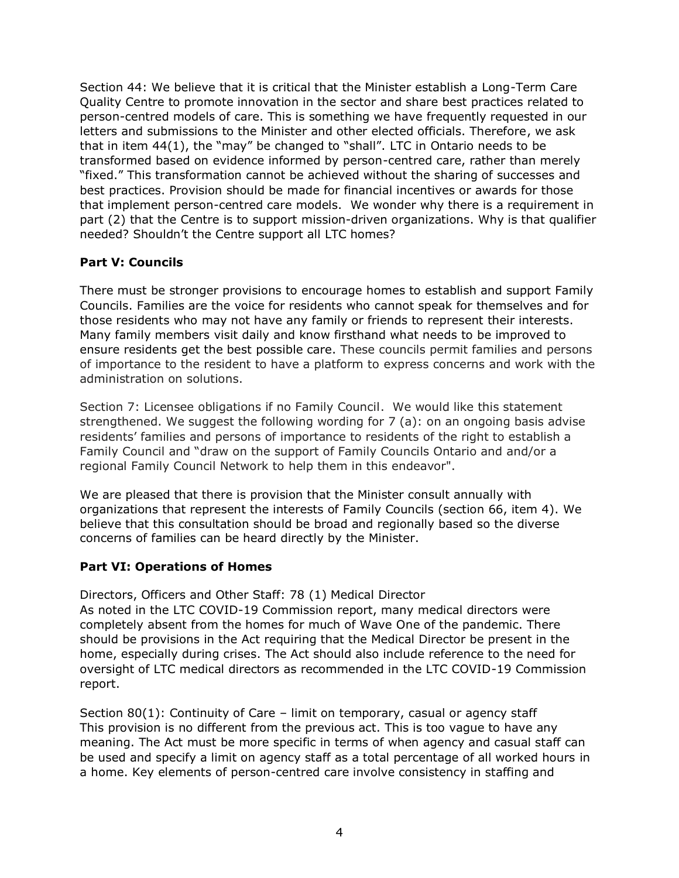Section 44: We believe that it is critical that the Minister establish a Long-Term Care Quality Centre to promote innovation in the sector and share best practices related to person-centred models of care. This is something we have frequently requested in our letters and submissions to the Minister and other elected officials. Therefore, we ask that in item 44(1), the "may" be changed to "shall". LTC in Ontario needs to be transformed based on evidence informed by person-centred care, rather than merely "fixed." This transformation cannot be achieved without the sharing of successes and best practices. Provision should be made for financial incentives or awards for those that implement person-centred care models. We wonder why there is a requirement in part (2) that the Centre is to support mission-driven organizations. Why is that qualifier needed? Shouldn't the Centre support all LTC homes?

## **Part V: Councils**

There must be stronger provisions to encourage homes to establish and support Family Councils. Families are the voice for residents who cannot speak for themselves and for those residents who may not have any family or friends to represent their interests. Many family members visit daily and know firsthand what needs to be improved to ensure residents get the best possible care. These councils permit families and persons of importance to the resident to have a platform to express concerns and work with the administration on solutions.

Section 7: Licensee obligations if no Family Council. We would like this statement strengthened. We suggest the following wording for 7 (a): on an ongoing basis advise residents' families and persons of importance to residents of the right to establish a Family Council and "draw on the support of Family Councils Ontario and and/or a regional Family Council Network to help them in this endeavor".

We are pleased that there is provision that the Minister consult annually with organizations that represent the interests of Family Councils (section 66, item 4). We believe that this consultation should be broad and regionally based so the diverse concerns of families can be heard directly by the Minister.

## **Part VI: Operations of Homes**

Directors, Officers and Other Staff: 78 (1) Medical Director As noted in the LTC COVID-19 Commission report, many medical directors were completely absent from the homes for much of Wave One of the pandemic. There should be provisions in the Act requiring that the Medical Director be present in the home, especially during crises. The Act should also include reference to the need for oversight of LTC medical directors as recommended in the LTC COVID-19 Commission report.

Section 80(1): Continuity of Care – limit on temporary, casual or agency staff This provision is no different from the previous act. This is too vague to have any meaning. The Act must be more specific in terms of when agency and casual staff can be used and specify a limit on agency staff as a total percentage of all worked hours in a home. Key elements of person-centred care involve consistency in staffing and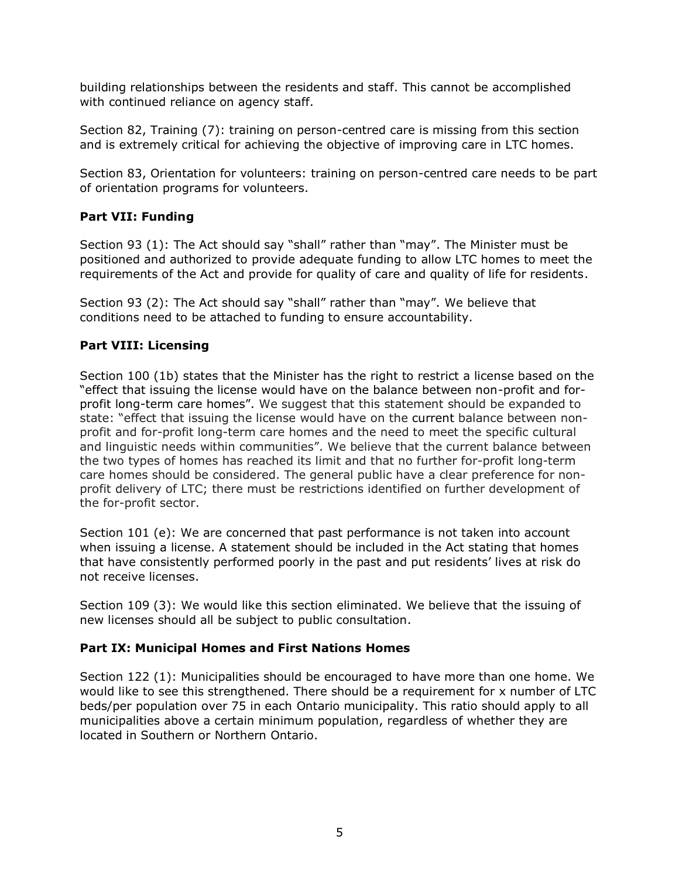building relationships between the residents and staff. This cannot be accomplished with continued reliance on agency staff.

Section 82, Training (7): training on person-centred care is missing from this section and is extremely critical for achieving the objective of improving care in LTC homes.

Section 83, Orientation for volunteers: training on person-centred care needs to be part of orientation programs for volunteers.

## **Part VII: Funding**

Section 93 (1): The Act should say "shall" rather than "may". The Minister must be positioned and authorized to provide adequate funding to allow LTC homes to meet the requirements of the Act and provide for quality of care and quality of life for residents.

Section 93 (2): The Act should say "shall" rather than "may". We believe that conditions need to be attached to funding to ensure accountability.

# **Part VIII: Licensing**

Section 100 (1b) states that the Minister has the right to restrict a license based on the "effect that issuing the license would have on the balance between non-profit and forprofit long-term care homes". We suggest that this statement should be expanded to state: "effect that issuing the license would have on the current balance between nonprofit and for-profit long-term care homes and the need to meet the specific cultural and linguistic needs within communities". We believe that the current balance between the two types of homes has reached its limit and that no further for-profit long-term care homes should be considered. The general public have a clear preference for nonprofit delivery of LTC; there must be restrictions identified on further development of the for-profit sector.

Section 101 (e): We are concerned that past performance is not taken into account when issuing a license. A statement should be included in the Act stating that homes that have consistently performed poorly in the past and put residents' lives at risk do not receive licenses.

Section 109 (3): We would like this section eliminated. We believe that the issuing of new licenses should all be subject to public consultation.

## **Part IX: Municipal Homes and First Nations Homes**

Section 122 (1): Municipalities should be encouraged to have more than one home. We would like to see this strengthened. There should be a requirement for x number of LTC beds/per population over 75 in each Ontario municipality. This ratio should apply to all municipalities above a certain minimum population, regardless of whether they are located in Southern or Northern Ontario.